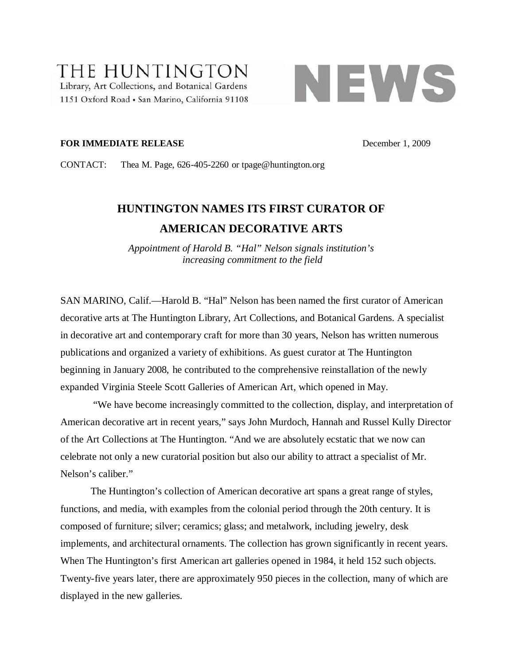## THE HUNTINGTON Library, Art Collections, and Botanical Gardens 1151 Oxford Road · San Marino, California 91108



### **FOR IMMEDIATE RELEASE** December 1, 2009

CONTACT: Thea M. Page, 626-405-2260 or tpage@huntington.org

# **HUNTINGTON NAMES ITS FIRST CURATOR OF AMERICAN DECORATIVE ARTS**

*Appointment of Harold B. "Hal" Nelson signals institution's increasing commitment to the field*

SAN MARINO, Calif.—Harold B. "Hal" Nelson has been named the first curator of American decorative arts at The Huntington Library, Art Collections, and Botanical Gardens. A specialist in decorative art and contemporary craft for more than 30 years, Nelson has written numerous publications and organized a variety of exhibitions. As guest curator at The Huntington beginning in January 2008, he contributed to the comprehensive reinstallation of the newly expanded Virginia Steele Scott Galleries of American Art, which opened in May.

"We have become increasingly committed to the collection, display, and interpretation of American decorative art in recent years," says John Murdoch, Hannah and Russel Kully Director of the Art Collections at The Huntington. "And we are absolutely ecstatic that we now can celebrate not only a new curatorial position but also our ability to attract a specialist of Mr. Nelson's caliber."

The Huntington's collection of American decorative art spans a great range of styles, functions, and media, with examples from the colonial period through the 20th century. It is composed of furniture; silver; ceramics; glass; and metalwork, including jewelry, desk implements, and architectural ornaments. The collection has grown significantly in recent years. When The Huntington's first American art galleries opened in 1984, it held 152 such objects. Twenty-five years later, there are approximately 950 pieces in the collection, many of which are displayed in the new galleries.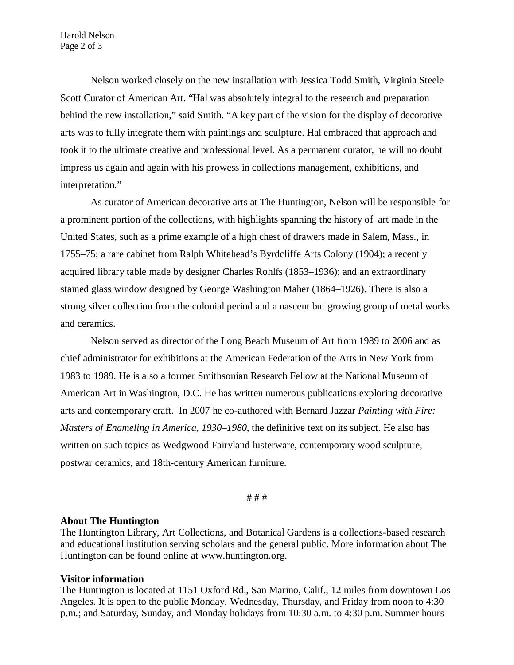Nelson worked closely on the new installation with Jessica Todd Smith, Virginia Steele Scott Curator of American Art. "Hal was absolutely integral to the research and preparation behind the new installation," said Smith. "A key part of the vision for the display of decorative arts was to fully integrate them with paintings and sculpture. Hal embraced that approach and took it to the ultimate creative and professional level. As a permanent curator, he will no doubt impress us again and again with his prowess in collections management, exhibitions, and interpretation."

As curator of American decorative arts at The Huntington, Nelson will be responsible for a prominent portion of the collections, with highlights spanning the history of art made in the United States, such as a prime example of a high chest of drawers made in Salem, Mass., in 1755–75; a rare cabinet from Ralph Whitehead's Byrdcliffe Arts Colony (1904); a recently acquired library table made by designer Charles Rohlfs (1853–1936); and an extraordinary stained glass window designed by George Washington Maher (1864–1926). There is also a strong silver collection from the colonial period and a nascent but growing group of metal works and ceramics.

Nelson served as director of the Long Beach Museum of Art from 1989 to 2006 and as chief administrator for exhibitions at the American Federation of the Arts in New York from 1983 to 1989. He is also a former Smithsonian Research Fellow at the National Museum of American Art in Washington, D.C. He has written numerous publications exploring decorative arts and contemporary craft. In 2007 he co-authored with Bernard Jazzar *Painting with Fire: Masters of Enameling in America, 1930–1980*, the definitive text on its subject. He also has written on such topics as Wedgwood Fairyland lusterware, contemporary wood sculpture, postwar ceramics, and 18th-century American furniture.

# # #

### **About The Huntington**

The Huntington Library, Art Collections, and Botanical Gardens is a collections-based research and educational institution serving scholars and the general public. More information about The Huntington can be found online at www.huntington.org.

#### **Visitor information**

The Huntington is located at 1151 Oxford Rd., San Marino, Calif., 12 miles from downtown Los Angeles. It is open to the public Monday, Wednesday, Thursday, and Friday from noon to 4:30 p.m.; and Saturday, Sunday, and Monday holidays from 10:30 a.m. to 4:30 p.m. Summer hours